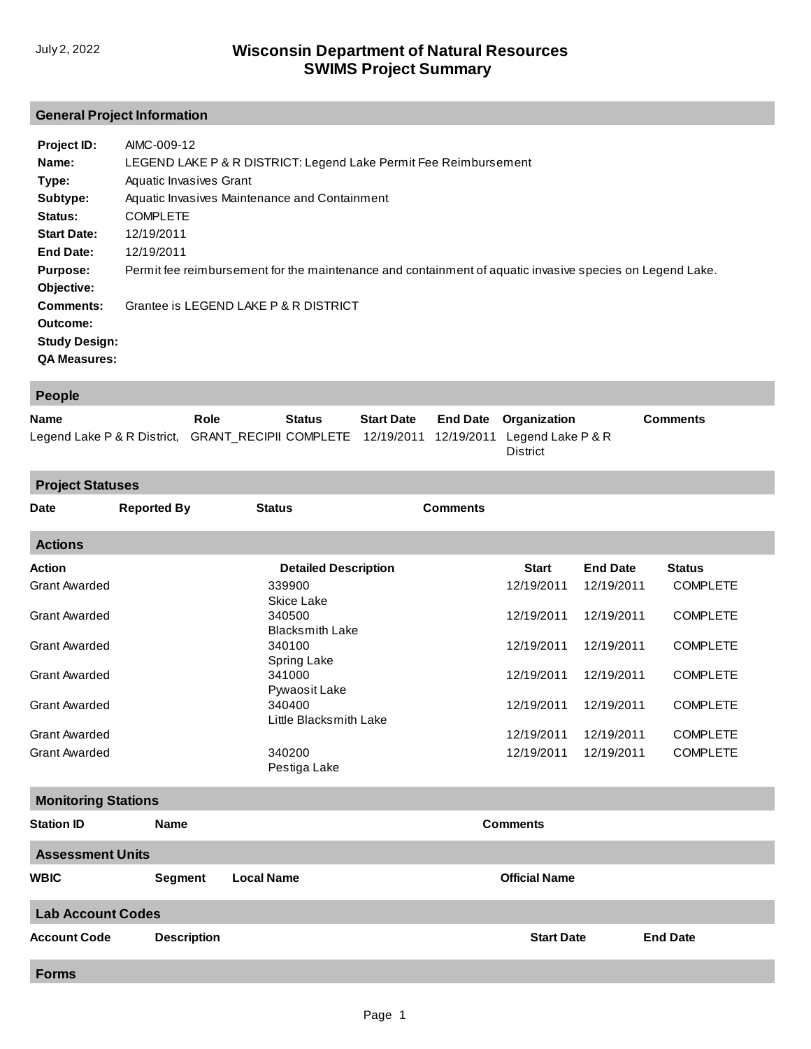## **General Project Information**

| Project ID:<br>Name:<br>Type:<br>Subtype:<br>Status:<br><b>Start Date:</b><br>End Date:<br><b>Purpose:</b><br>Objective: | AIMC-009-12<br>LEGEND LAKE P & R DISTRICT: Legend Lake Permit Fee Reimbursement<br>Aquatic Invasives Grant<br>Aquatic Invasives Maintenance and Containment<br><b>COMPLETE</b><br>12/19/2011<br>12/19/2011<br>Permit fee reimbursement for the maintenance and containment of aquatic invasive species on Legend Lake. |
|--------------------------------------------------------------------------------------------------------------------------|------------------------------------------------------------------------------------------------------------------------------------------------------------------------------------------------------------------------------------------------------------------------------------------------------------------------|
| Comments:<br>Outcome:<br><b>Study Design:</b><br><b>QA Measures:</b>                                                     | Grantee is LEGEND LAKE P & R DISTRICT                                                                                                                                                                                                                                                                                  |

| People                                                                                     |      |        |                   |                              |                 |
|--------------------------------------------------------------------------------------------|------|--------|-------------------|------------------------------|-----------------|
| <b>Name</b>                                                                                | Role | Status | <b>Start Date</b> | <b>End Date</b> Organization | <b>Comments</b> |
| Legend Lake P & R District, GRANT RECIPII COMPLETE 12/19/2011 12/19/2011 Legend Lake P & R |      |        |                   | District                     |                 |

| <b>Project Statuses</b>    |                    |                                  |                      |                 |                 |  |  |  |
|----------------------------|--------------------|----------------------------------|----------------------|-----------------|-----------------|--|--|--|
| <b>Date</b>                | <b>Reported By</b> | <b>Status</b>                    | <b>Comments</b>      |                 |                 |  |  |  |
| <b>Actions</b>             |                    |                                  |                      |                 |                 |  |  |  |
| <b>Action</b>              |                    | <b>Detailed Description</b>      | <b>Start</b>         | <b>End Date</b> | <b>Status</b>   |  |  |  |
| <b>Grant Awarded</b>       |                    | 339900<br>Skice Lake             | 12/19/2011           | 12/19/2011      | <b>COMPLETE</b> |  |  |  |
| <b>Grant Awarded</b>       |                    | 340500<br><b>Blacksmith Lake</b> | 12/19/2011           | 12/19/2011      | <b>COMPLETE</b> |  |  |  |
| <b>Grant Awarded</b>       |                    | 340100<br>Spring Lake            | 12/19/2011           | 12/19/2011      | <b>COMPLETE</b> |  |  |  |
| <b>Grant Awarded</b>       |                    | 341000<br>Pywaosit Lake          | 12/19/2011           | 12/19/2011      | <b>COMPLETE</b> |  |  |  |
| <b>Grant Awarded</b>       |                    | 340400<br>Little Blacksmith Lake | 12/19/2011           | 12/19/2011      | <b>COMPLETE</b> |  |  |  |
| <b>Grant Awarded</b>       |                    |                                  | 12/19/2011           | 12/19/2011      | <b>COMPLETE</b> |  |  |  |
| <b>Grant Awarded</b>       |                    | 340200<br>Pestiga Lake           | 12/19/2011           | 12/19/2011      | <b>COMPLETE</b> |  |  |  |
| <b>Monitoring Stations</b> |                    |                                  |                      |                 |                 |  |  |  |
| <b>Station ID</b>          | <b>Name</b>        |                                  | <b>Comments</b>      |                 |                 |  |  |  |
| <b>Assessment Units</b>    |                    |                                  |                      |                 |                 |  |  |  |
| <b>WBIC</b>                | <b>Segment</b>     | <b>Local Name</b>                | <b>Official Name</b> |                 |                 |  |  |  |
| <b>Lab Account Codes</b>   |                    |                                  |                      |                 |                 |  |  |  |
| <b>Account Code</b>        | <b>Description</b> |                                  | <b>Start Date</b>    |                 | <b>End Date</b> |  |  |  |
| <b>Forms</b>               |                    |                                  |                      |                 |                 |  |  |  |